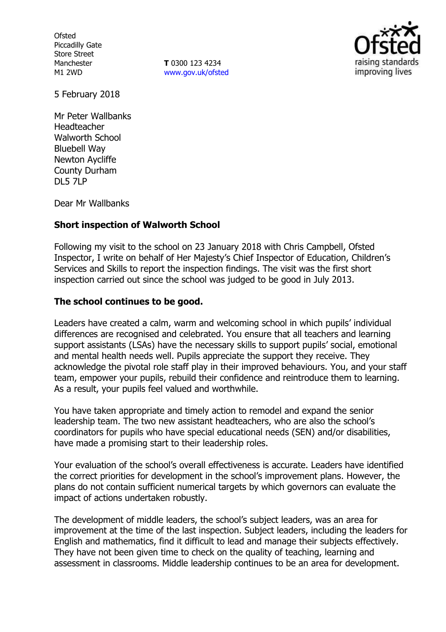**Ofsted** Piccadilly Gate Store Street Manchester M1 2WD

**T** 0300 123 4234 www.gov.uk/ofsted



5 February 2018

Mr Peter Wallbanks Headteacher Walworth School Bluebell Way Newton Aycliffe County Durham DL5 7LP

Dear Mr Wallbanks

#### **Short inspection of Walworth School**

Following my visit to the school on 23 January 2018 with Chris Campbell, Ofsted Inspector, I write on behalf of Her Majesty's Chief Inspector of Education, Children's Services and Skills to report the inspection findings. The visit was the first short inspection carried out since the school was judged to be good in July 2013.

#### **The school continues to be good.**

Leaders have created a calm, warm and welcoming school in which pupils' individual differences are recognised and celebrated. You ensure that all teachers and learning support assistants (LSAs) have the necessary skills to support pupils' social, emotional and mental health needs well. Pupils appreciate the support they receive. They acknowledge the pivotal role staff play in their improved behaviours. You, and your staff team, empower your pupils, rebuild their confidence and reintroduce them to learning. As a result, your pupils feel valued and worthwhile.

You have taken appropriate and timely action to remodel and expand the senior leadership team. The two new assistant headteachers, who are also the school's coordinators for pupils who have special educational needs (SEN) and/or disabilities, have made a promising start to their leadership roles.

Your evaluation of the school's overall effectiveness is accurate. Leaders have identified the correct priorities for development in the school's improvement plans. However, the plans do not contain sufficient numerical targets by which governors can evaluate the impact of actions undertaken robustly.

The development of middle leaders, the school's subject leaders, was an area for improvement at the time of the last inspection. Subject leaders, including the leaders for English and mathematics, find it difficult to lead and manage their subjects effectively. They have not been given time to check on the quality of teaching, learning and assessment in classrooms. Middle leadership continues to be an area for development.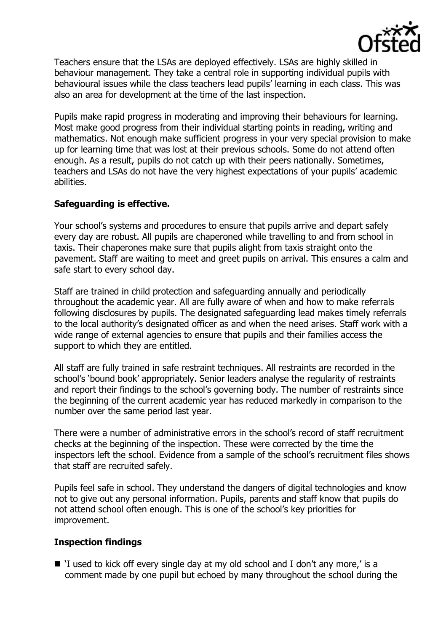

Teachers ensure that the LSAs are deployed effectively. LSAs are highly skilled in behaviour management. They take a central role in supporting individual pupils with behavioural issues while the class teachers lead pupils' learning in each class. This was also an area for development at the time of the last inspection.

Pupils make rapid progress in moderating and improving their behaviours for learning. Most make good progress from their individual starting points in reading, writing and mathematics. Not enough make sufficient progress in your very special provision to make up for learning time that was lost at their previous schools. Some do not attend often enough. As a result, pupils do not catch up with their peers nationally. Sometimes, teachers and LSAs do not have the very highest expectations of your pupils' academic abilities.

## **Safeguarding is effective.**

Your school's systems and procedures to ensure that pupils arrive and depart safely every day are robust. All pupils are chaperoned while travelling to and from school in taxis. Their chaperones make sure that pupils alight from taxis straight onto the pavement. Staff are waiting to meet and greet pupils on arrival. This ensures a calm and safe start to every school day.

Staff are trained in child protection and safeguarding annually and periodically throughout the academic year. All are fully aware of when and how to make referrals following disclosures by pupils. The designated safeguarding lead makes timely referrals to the local authority's designated officer as and when the need arises. Staff work with a wide range of external agencies to ensure that pupils and their families access the support to which they are entitled.

All staff are fully trained in safe restraint techniques. All restraints are recorded in the school's 'bound book' appropriately. Senior leaders analyse the regularity of restraints and report their findings to the school's governing body. The number of restraints since the beginning of the current academic year has reduced markedly in comparison to the number over the same period last year.

There were a number of administrative errors in the school's record of staff recruitment checks at the beginning of the inspection. These were corrected by the time the inspectors left the school. Evidence from a sample of the school's recruitment files shows that staff are recruited safely.

Pupils feel safe in school. They understand the dangers of digital technologies and know not to give out any personal information. Pupils, parents and staff know that pupils do not attend school often enough. This is one of the school's key priorities for improvement.

## **Inspection findings**

■ 'I used to kick off every single day at my old school and I don't any more,' is a comment made by one pupil but echoed by many throughout the school during the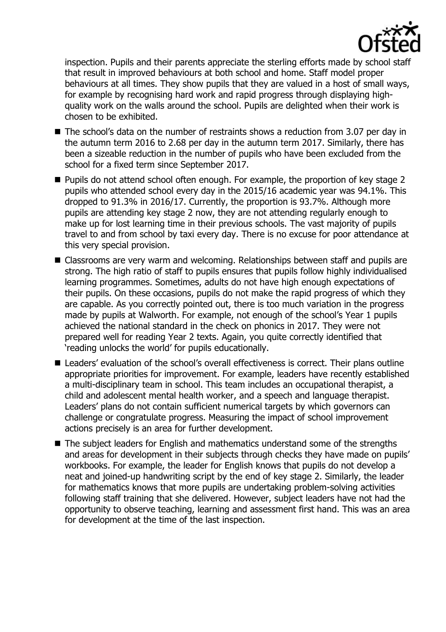

inspection. Pupils and their parents appreciate the sterling efforts made by school staff that result in improved behaviours at both school and home. Staff model proper behaviours at all times. They show pupils that they are valued in a host of small ways, for example by recognising hard work and rapid progress through displaying highquality work on the walls around the school. Pupils are delighted when their work is chosen to be exhibited.

- The school's data on the number of restraints shows a reduction from 3.07 per day in the autumn term 2016 to 2.68 per day in the autumn term 2017. Similarly, there has been a sizeable reduction in the number of pupils who have been excluded from the school for a fixed term since September 2017.
- Pupils do not attend school often enough. For example, the proportion of key stage 2 pupils who attended school every day in the 2015/16 academic year was 94.1%. This dropped to 91.3% in 2016/17. Currently, the proportion is 93.7%. Although more pupils are attending key stage 2 now, they are not attending regularly enough to make up for lost learning time in their previous schools. The vast majority of pupils travel to and from school by taxi every day. There is no excuse for poor attendance at this very special provision.
- Classrooms are very warm and welcoming. Relationships between staff and pupils are strong. The high ratio of staff to pupils ensures that pupils follow highly individualised learning programmes. Sometimes, adults do not have high enough expectations of their pupils. On these occasions, pupils do not make the rapid progress of which they are capable. As you correctly pointed out, there is too much variation in the progress made by pupils at Walworth. For example, not enough of the school's Year 1 pupils achieved the national standard in the check on phonics in 2017. They were not prepared well for reading Year 2 texts. Again, you quite correctly identified that 'reading unlocks the world' for pupils educationally.
- Leaders' evaluation of the school's overall effectiveness is correct. Their plans outline appropriate priorities for improvement. For example, leaders have recently established a multi-disciplinary team in school. This team includes an occupational therapist, a child and adolescent mental health worker, and a speech and language therapist. Leaders' plans do not contain sufficient numerical targets by which governors can challenge or congratulate progress. Measuring the impact of school improvement actions precisely is an area for further development.
- The subject leaders for English and mathematics understand some of the strengths and areas for development in their subjects through checks they have made on pupils' workbooks. For example, the leader for English knows that pupils do not develop a neat and joined-up handwriting script by the end of key stage 2. Similarly, the leader for mathematics knows that more pupils are undertaking problem-solving activities following staff training that she delivered. However, subject leaders have not had the opportunity to observe teaching, learning and assessment first hand. This was an area for development at the time of the last inspection.